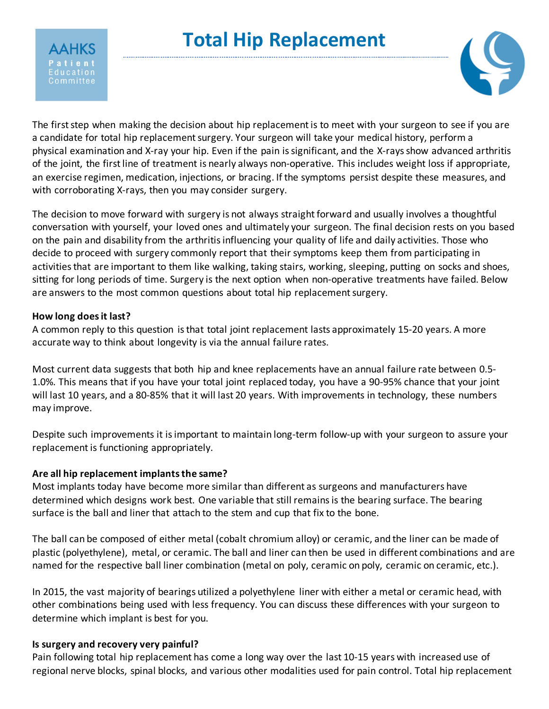

# **Total Hip Replacement**



The first step when making the decision about hip replacement is to meet with your surgeon to see if you are a candidate for total hip replacement surgery. Your surgeon will take your medical history, perform a physical examination and X-ray your hip. Even if the pain is significant, and the X-rays show advanced arthritis of the joint, the first line of treatment is nearly always non-operative. This includes weight loss if appropriate, an exercise regimen, medication, injections, or bracing. If the symptoms persist despite these measures, and with corroborating X-rays, then you may consider surgery.

The decision to move forward with surgery is not always straight forward and usually involves a thoughtful conversation with yourself, your loved ones and ultimately your surgeon. The final decision rests on you based on the pain and disability from the arthritis influencing your quality of life and daily activities. Those who decide to proceed with surgery commonly report that their symptoms keep them from participating in activities that are important to them like walking, taking stairs, working, sleeping, putting on socks and shoes, sitting for long periods of time. Surgery is the next option when non-operative treatments have failed. Below are answers to the most common questions about total hip replacement surgery.

# **How long does it last?**

A common reply to this question is that total joint replacement lasts approximately 15-20 years. A more accurate way to think about longevity is via the annual failure rates.

Most current data suggests that both hip and knee replacements have an annual failure rate between 0.5- 1.0%. This means that if you have your total joint replaced today, you have a 90-95% chance that your joint will last 10 years, and a 80-85% that it will last 20 years. With improvements in technology, these numbers may improve.

Despite such improvements it is important to maintain long-term follow-up with your surgeon to assure your replacement is functioning appropriately.

# **Are all hip replacement implants the same?**

Most implants today have become more similar than different as surgeons and manufacturers have determined which designs work best. One variable that still remainsis the bearing surface. The bearing surface is the ball and liner that attach to the stem and cup that fix to the bone.

The ball can be composed of either metal (cobalt chromium alloy) or ceramic, and the liner can be made of plastic (polyethylene), metal, or ceramic. The ball and liner can then be used in different combinations and are named for the respective ball liner combination (metal on poly, ceramic on poly, ceramic on ceramic, etc.).

In 2015, the vast majority of bearings utilized a polyethylene liner with either a metal or ceramic head, with other combinations being used with less frequency. You can discuss these differences with your surgeon to determine which implant is best for you.

# **Is surgery and recovery very painful?**

Pain following total hip replacement has come a long way over the last 10-15 years with increased use of regional nerve blocks, spinal blocks, and various other modalities used for pain control. Total hip replacement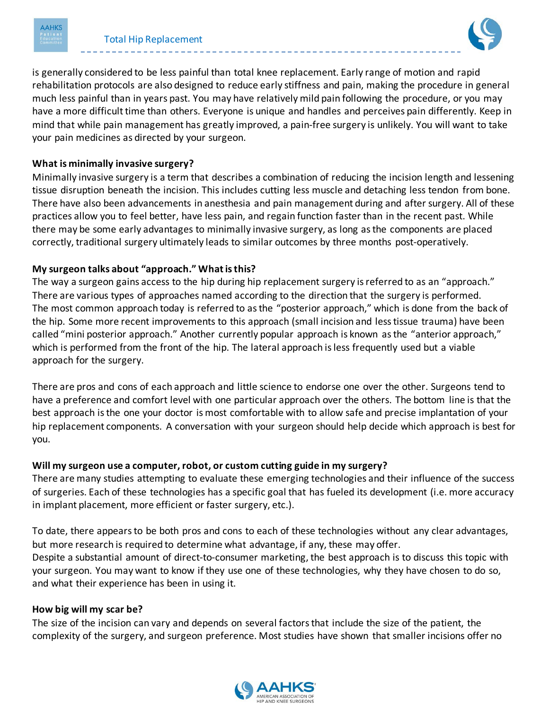



is generally considered to be less painful than total knee replacement. Early range of motion and rapid rehabilitation protocols are also designed to reduce early stiffness and pain, making the procedure in general much less painful than in years past. You may have relatively mild pain following the procedure, or you may have a more difficult time than others. Everyone is unique and handles and perceives pain differently. Keep in mind that while pain management has greatly improved, a pain-free surgery is unlikely. You will want to take your pain medicines as directed by your surgeon.

# **What is minimally invasive surgery?**

Minimally invasive surgery is a term that describes a combination of reducing the incision length and lessening tissue disruption beneath the incision. This includes cutting less muscle and detaching less tendon from bone. There have also been advancements in anesthesia and pain management during and after surgery. All of these practices allow you to feel better, have less pain, and regain function faster than in the recent past. While there may be some early advantages to minimally invasive surgery, as long asthe components are placed correctly, traditional surgery ultimately leads to similar outcomes by three months post-operatively.

# **My surgeon talks about "approach." What is this?**

The way a surgeon gains access to the hip during hip replacement surgery is referred to as an "approach." There are various types of approaches named according to the direction that the surgery is performed. The most common approach today is referred to as the "posterior approach," which is done from the back of the hip. Some more recent improvements to this approach (small incision and less tissue trauma) have been called "mini posterior approach." Another currently popular approach is known as the "anterior approach," which is performed from the front of the hip. The lateral approach is less frequently used but a viable approach for the surgery.

There are pros and cons of each approach and little science to endorse one over the other. Surgeons tend to have a preference and comfort level with one particular approach over the others. The bottom line is that the best approach is the one your doctor is most comfortable with to allow safe and precise implantation of your hip replacement components. A conversation with your surgeon should help decide which approach is best for you.

#### **Will my surgeon use a computer, robot, or custom cutting guide in my surgery?**

There are many studies attempting to evaluate these emerging technologies and their influence of the success of surgeries. Each of these technologies has a specific goal that has fueled its development (i.e. more accuracy in implant placement, more efficient or faster surgery, etc.).

To date, there appears to be both pros and cons to each of these technologies without any clear advantages, but more research is required to determine what advantage, if any, these may offer. Despite a substantial amount of direct-to-consumer marketing, the best approach is to discuss this topic with your surgeon. You may want to know if they use one of these technologies, why they have chosen to do so, and what their experience has been in using it.

#### **How big will my scar be?**

The size of the incision can vary and depends on several factors that include the size of the patient, the complexity of the surgery, and surgeon preference. Most studies have shown that smaller incisions offer no

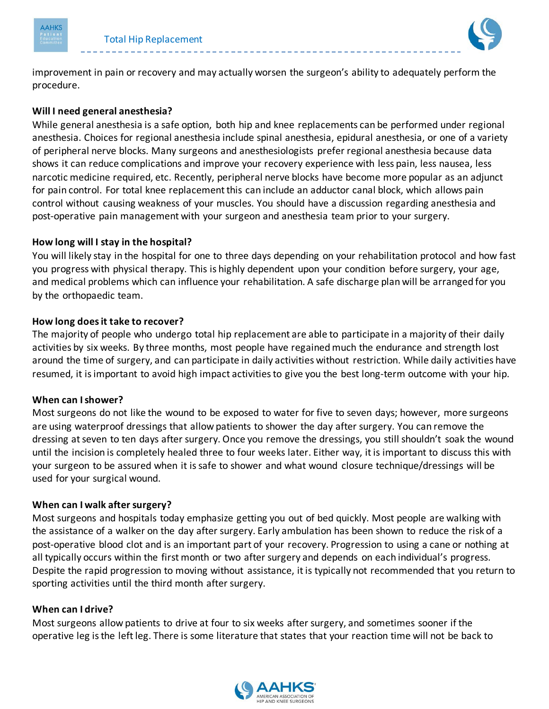



improvement in pain or recovery and may actually worsen the surgeon's ability to adequately perform the procedure.

# **Will I need general anesthesia?**

While general anesthesia is a safe option, both hip and knee replacements can be performed under regional anesthesia. Choices for regional anesthesia include spinal anesthesia, epidural anesthesia, or one of a variety of peripheral nerve blocks. Many surgeons and anesthesiologists prefer regional anesthesia because data shows it can reduce complications and improve your recovery experience with less pain, less nausea, less narcotic medicine required, etc. Recently, peripheral nerve blocks have become more popular as an adjunct for pain control. For total knee replacement this can include an adductor canal block, which allows pain control without causing weakness of your muscles. You should have a discussion regarding anesthesia and post-operative pain management with your surgeon and anesthesia team prior to your surgery.

#### **How long will I stay in the hospital?**

You will likely stay in the hospital for one to three days depending on your rehabilitation protocol and how fast you progress with physical therapy. This is highly dependent upon your condition before surgery, your age, and medical problems which can influence your rehabilitation. A safe discharge plan will be arranged for you by the orthopaedic team.

# **How long does it take to recover?**

The majority of people who undergo total hip replacement are able to participate in a majority of their daily activities by six weeks. By three months, most people have regained much the endurance and strength lost around the time of surgery, and can participate in daily activities without restriction. While daily activities have resumed, it is important to avoid high impact activities to give you the best long-term outcome with your hip.

#### **When can I shower?**

Most surgeons do not like the wound to be exposed to water for five to seven days; however, more surgeons are using waterproof dressings that allow patients to shower the day after surgery. You can remove the dressing at seven to ten days after surgery. Once you remove the dressings, you still shouldn't soak the wound until the incision is completely healed three to four weeks later. Either way, it is important to discuss this with your surgeon to be assured when it is safe to shower and what wound closure technique/dressings will be used for your surgical wound.

#### **When can I walk after surgery?**

Most surgeons and hospitals today emphasize getting you out of bed quickly. Most people are walking with the assistance of a walker on the day after surgery. Early ambulation has been shown to reduce the risk of a post-operative blood clot and is an important part of your recovery. Progression to using a cane or nothing at all typically occurs within the first month or two after surgery and depends on each individual's progress. Despite the rapid progression to moving without assistance, it is typically not recommended that you return to sporting activities until the third month after surgery.

#### **When can I drive?**

Most surgeons allow patients to drive at four to six weeks after surgery, and sometimes sooner if the operative leg is the left leg. There is some literature that states that your reaction time will not be back to

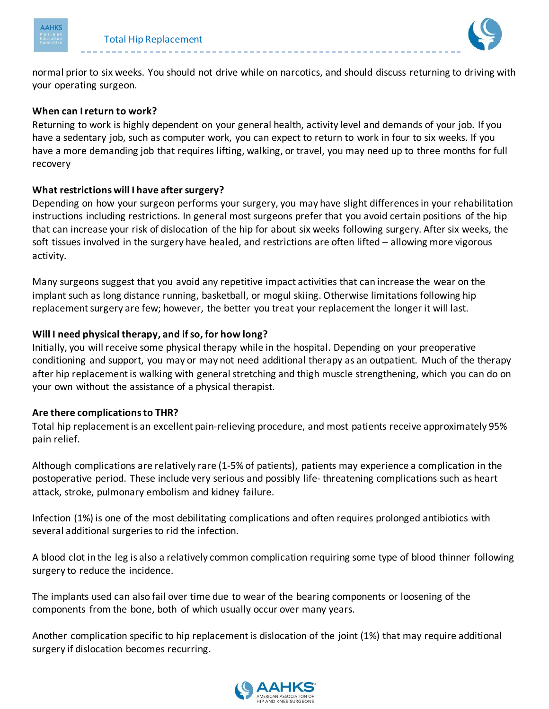



normal prior to six weeks. You should not drive while on narcotics, and should discuss returning to driving with your operating surgeon.

# **When can I return to work?**

Returning to work is highly dependent on your general health, activity level and demands of your job. If you have a sedentary job, such as computer work, you can expect to return to work in four to six weeks. If you have a more demanding job that requires lifting, walking, or travel, you may need up to three months for full recovery

# **What restrictions will I have after surgery?**

Depending on how your surgeon performs your surgery, you may have slight differences in your rehabilitation instructions including restrictions. In general most surgeons prefer that you avoid certain positions of the hip that can increase your risk of dislocation of the hip for about six weeks following surgery. After six weeks, the soft tissues involved in the surgery have healed, and restrictions are often lifted – allowing more vigorous activity.

Many surgeons suggest that you avoid any repetitive impact activities that can increase the wear on the implant such as long distance running, basketball, or mogul skiing. Otherwise limitations following hip replacement surgery are few; however, the better you treat your replacement the longer it will last.

# **Will I need physical therapy, and if so, for how long?**

Initially, you will receive some physical therapy while in the hospital. Depending on your preoperative conditioning and support, you may or may not need additional therapy as an outpatient. Much of the therapy after hip replacement is walking with general stretching and thigh muscle strengthening, which you can do on your own without the assistance of a physical therapist.

#### **Are there complications to THR?**

Total hip replacement is an excellent pain-relieving procedure, and most patients receive approximately 95% pain relief.

Although complications are relatively rare (1-5% of patients), patients may experience a complication in the postoperative period. These include very serious and possibly life- threatening complications such as heart attack, stroke, pulmonary embolism and kidney failure.

Infection (1%) is one of the most debilitating complications and often requires prolonged antibiotics with several additional surgeries to rid the infection.

A blood clot in the leg is also a relatively common complication requiring some type of blood thinner following surgery to reduce the incidence.

The implants used can also fail over time due to wear of the bearing components or loosening of the components from the bone, both of which usually occur over many years.

Another complication specific to hip replacement is dislocation of the joint (1%) that may require additional surgery if dislocation becomes recurring.

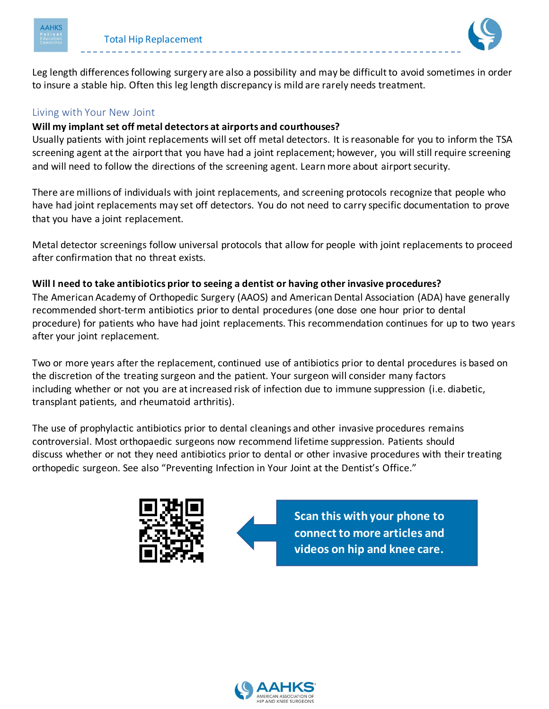



Leg length differences following surgery are also a possibility and may be difficult to avoid sometimes in order to insure a stable hip. Often this leg length discrepancy is mild are rarely needs treatment.

# Living with Your New Joint

# **Will my implant set off metal detectors at airports and courthouses?**

Usually patients with joint replacements will set off metal detectors. It is reasonable for you to inform the TSA screening agent at the airport that you have had a joint replacement; however, you will still require screening and will need to follow the directions of the screening agent. Learn more about airport security.

There are millions of individuals with joint replacements, and screening protocols recognize that people who have had joint replacements may set off detectors. You do not need to carry specific documentation to prove that you have a joint replacement.

Metal detector screenings follow universal protocols that allow for people with joint replacements to proceed after confirmation that no threat exists.

# **Will I need to take antibiotics prior to seeing a dentist or having other invasive procedures?**

The American Academy of Orthopedic Surgery (AAOS) and American Dental Association (ADA) have generally recommended short-term antibiotics prior to dental procedures (one dose one hour prior to dental procedure) for patients who have had joint replacements. This recommendation continues for up to two years after your joint replacement.

Two or more years after the replacement, continued use of antibiotics prior to dental procedures is based on the discretion of the treating surgeon and the patient. Your surgeon will consider many factors including whether or not you are at increased risk of infection due to immune suppression (i.e. diabetic, transplant patients, and rheumatoid arthritis).

The use of prophylactic antibiotics prior to dental cleanings and other invasive procedures remains controversial. Most orthopaedic surgeons now recommend lifetime suppression. Patients should discuss whether or not they need antibiotics prior to dental or other invasive procedures with their treating orthopedic surgeon. See also "Preventing Infection in Your Joint at the Dentist's Office."





**Scan this with your phone to connect to more articles and videos on hip and knee care.**